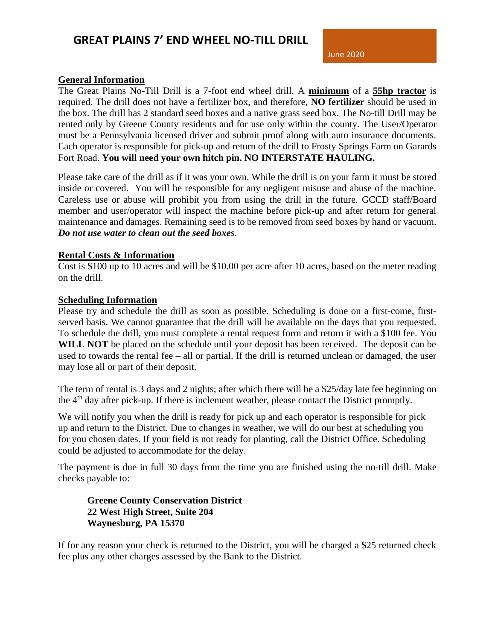#### **General Information**

The Great Plains No-Till Drill is a 7-foot end wheel drill. A **minimum** of a **55hp tractor** is required. The drill does not have a fertilizer box, and therefore, **NO fertilizer** should be used in the box. The drill has 2 standard seed boxes and a native grass seed box. The No-till Drill may be rented only by Greene County residents and for use only within the county. The User/Operator must be a Pennsylvania licensed driver and submit proof along with auto insurance documents. Each operator is responsible for pick-up and return of the drill to Frosty Springs Farm on Garards Fort Road. **You will need your own hitch pin. NO INTERSTATE HAULING.** 

Please take care of the drill as if it was your own. While the drill is on your farm it must be stored inside or covered. You will be responsible for any negligent misuse and abuse of the machine. Careless use or abuse will prohibit you from using the drill in the future. GCCD staff/Board member and user/operator will inspect the machine before pick-up and after return for general maintenance and damages. Remaining seed is to be removed from seed boxes by hand or vacuum. *Do not use water to clean out the seed boxes*.

#### **Rental Costs & Information**

Cost is \$100 up to 10 acres and will be \$10.00 per acre after 10 acres, based on the meter reading on the drill.

#### **Scheduling Information**

Please try and schedule the drill as soon as possible. Scheduling is done on a first-come, firstserved basis. We cannot guarantee that the drill will be available on the days that you requested. To schedule the drill, you must complete a rental request form and return it with a \$100 fee. You WILL NOT be placed on the schedule until your deposit has been received. The deposit can be used to towards the rental fee – all or partial. If the drill is returned unclean or damaged, the user may lose all or part of their deposit.

The term of rental is 3 days and 2 nights; after which there will be a \$25/day late fee beginning on the 4th day after pick-up. If there is inclement weather, please contact the District promptly.

We will notify you when the drill is ready for pick up and each operator is responsible for pick up and return to the District. Due to changes in weather, we will do our best at scheduling you for you chosen dates. If your field is not ready for planting, call the District Office. Scheduling could be adjusted to accommodate for the delay.

The payment is due in full 30 days from the time you are finished using the no-till drill. Make checks payable to:

### **Greene County Conservation District 22 West High Street, Suite 204 Waynesburg, PA 15370**

If for any reason your check is returned to the District, you will be charged a \$25 returned check fee plus any other charges assessed by the Bank to the District.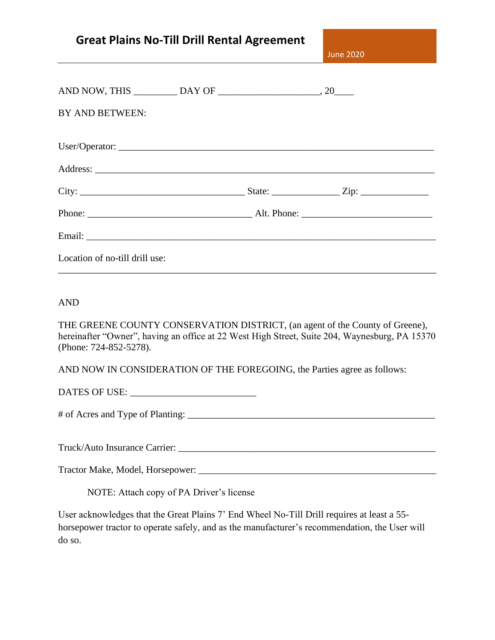| <b>Great Plains No-Till Drill Rental Agreement</b> |  |  |
|----------------------------------------------------|--|--|
|----------------------------------------------------|--|--|

June 2020

| BY AND BETWEEN:                |  |  |
|--------------------------------|--|--|
|                                |  |  |
|                                |  |  |
|                                |  |  |
|                                |  |  |
|                                |  |  |
| Location of no-till drill use: |  |  |

AND

THE GREENE COUNTY CONSERVATION DISTRICT, (an agent of the County of Greene), hereinafter "Owner", having an office at 22 West High Street, Suite 204, Waynesburg, PA 15370 (Phone: 724-852-5278).

AND NOW IN CONSIDERATION OF THE FOREGOING, the Parties agree as follows:

DATES OF USE:

# of Acres and Type of Planting: \_\_\_\_\_\_\_\_\_\_\_\_\_\_\_\_\_\_\_\_\_\_\_\_\_\_\_\_\_\_\_\_\_\_\_\_\_\_\_\_\_\_\_\_\_\_\_\_\_\_\_

Truck/Auto Insurance Carrier: \_\_\_\_\_\_\_\_\_\_\_\_\_\_\_\_\_\_\_\_\_\_\_\_\_\_\_\_\_\_\_\_\_\_\_\_\_\_\_\_\_\_\_\_\_\_\_\_\_\_\_\_\_

Tractor Make, Model, Horsepower: \_\_\_\_\_\_\_\_\_\_\_\_\_\_\_\_\_\_\_\_\_\_\_\_\_\_\_\_\_\_\_\_\_\_\_\_\_\_\_\_\_\_\_\_\_\_\_\_\_

NOTE: Attach copy of PA Driver's license

User acknowledges that the Great Plains 7' End Wheel No-Till Drill requires at least a 55 horsepower tractor to operate safely, and as the manufacturer's recommendation, the User will do so.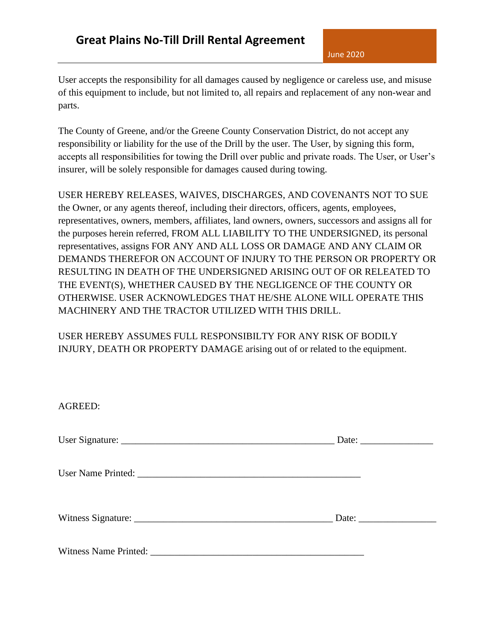User accepts the responsibility for all damages caused by negligence or careless use, and misuse of this equipment to include, but not limited to, all repairs and replacement of any non-wear and parts.

The County of Greene, and/or the Greene County Conservation District, do not accept any responsibility or liability for the use of the Drill by the user. The User, by signing this form, accepts all responsibilities for towing the Drill over public and private roads. The User, or User's insurer, will be solely responsible for damages caused during towing.

USER HEREBY RELEASES, WAIVES, DISCHARGES, AND COVENANTS NOT TO SUE the Owner, or any agents thereof, including their directors, officers, agents, employees, representatives, owners, members, affiliates, land owners, owners, successors and assigns all for the purposes herein referred, FROM ALL LIABILITY TO THE UNDERSIGNED, its personal representatives, assigns FOR ANY AND ALL LOSS OR DAMAGE AND ANY CLAIM OR DEMANDS THEREFOR ON ACCOUNT OF INJURY TO THE PERSON OR PROPERTY OR RESULTING IN DEATH OF THE UNDERSIGNED ARISING OUT OF OR RELEATED TO THE EVENT(S), WHETHER CAUSED BY THE NEGLIGENCE OF THE COUNTY OR OTHERWISE. USER ACKNOWLEDGES THAT HE/SHE ALONE WILL OPERATE THIS MACHINERY AND THE TRACTOR UTILIZED WITH THIS DRILL.

USER HEREBY ASSUMES FULL RESPONSIBILTY FOR ANY RISK OF BODILY INJURY, DEATH OR PROPERTY DAMAGE arising out of or related to the equipment.

| <b>AGREED:</b> |  |
|----------------|--|
|                |  |
|                |  |
|                |  |
|                |  |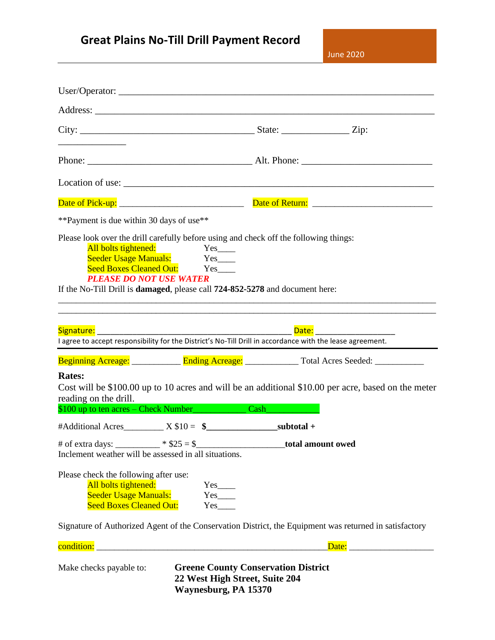# **Great Plains No-Till Drill Payment Record**

June 2020

| <u> 1989 - John Harry Harry Harry Harry Harry Harry Harry Harry Harry Harry Harry Harry Harry Harry Harry Harry H</u>                                                                                           |                                                                                                      |                                                                                                        |
|-----------------------------------------------------------------------------------------------------------------------------------------------------------------------------------------------------------------|------------------------------------------------------------------------------------------------------|--------------------------------------------------------------------------------------------------------|
|                                                                                                                                                                                                                 |                                                                                                      |                                                                                                        |
|                                                                                                                                                                                                                 |                                                                                                      |                                                                                                        |
|                                                                                                                                                                                                                 |                                                                                                      |                                                                                                        |
| ** Payment is due within 30 days of use**                                                                                                                                                                       |                                                                                                      |                                                                                                        |
| Please look over the drill carefully before using and check off the following things:<br><b>PLEASE DO NOT USE WATER</b><br>If the No-Till Drill is <b>damaged</b> , please call 724-852-5278 and document here: | All bolts tightened:<br>Seeder Usage Manuals: Yes____<br>Seed Boxes Cleaned Out: Yes                 |                                                                                                        |
| Signature: Signature Signature Signature Signature Signature Signa Signa Signal<br>I agree to accept responsibility for the District's No-Till Drill in accordance with the lease agreement.                    |                                                                                                      |                                                                                                        |
|                                                                                                                                                                                                                 |                                                                                                      |                                                                                                        |
| <b>Rates:</b><br>reading on the drill.<br>\$100 up to ten acres – Check Number<br>Cash                                                                                                                          |                                                                                                      | Cost will be \$100.00 up to 10 acres and will be an additional \$10.00 per acre, based on the meter    |
|                                                                                                                                                                                                                 |                                                                                                      |                                                                                                        |
| # of extra days: _________ * $$25 = $$<br>Inclement weather will be assessed in all situations.                                                                                                                 |                                                                                                      | total amount owed                                                                                      |
| Please check the following after use:<br>All bolts tightened:<br><b>Seeder Usage Manuals:</b><br><b>Seed Boxes Cleaned Out:</b>                                                                                 | $Yes$ <sub>____</sub><br>$Yes$<br>$Yes$ <sub>__</sub>                                                |                                                                                                        |
|                                                                                                                                                                                                                 |                                                                                                      | Signature of Authorized Agent of the Conservation District, the Equipment was returned in satisfactory |
|                                                                                                                                                                                                                 |                                                                                                      |                                                                                                        |
| Make checks payable to:                                                                                                                                                                                         | <b>Greene County Conservation District</b><br>22 West High Street, Suite 204<br>Waynesburg, PA 15370 |                                                                                                        |